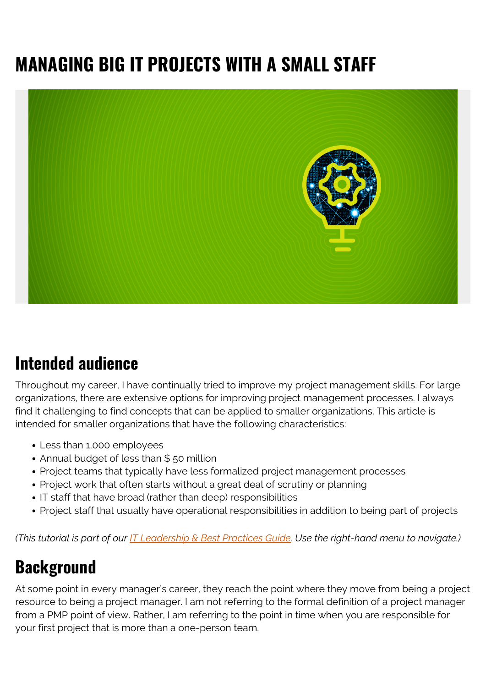# **MANAGING BIG IT PROJECTS WITH A SMALL STAFF**



#### **Intended audience**

Throughout my career, I have continually tried to improve my project management skills. For large organizations, there are extensive options for improving project management processes. I always find it challenging to find concepts that can be applied to smaller organizations. This article is intended for smaller organizations that have the following characteristics:

- Less than 1,000 employees
- Annual budget of less than \$50 million
- Project teams that typically have less formalized project management processes
- Project work that often starts without a great deal of scrutiny or planning
- IT staff that have broad (rather than deep) responsibilities
- Project staff that usually have operational responsibilities in addition to being part of projects

*(This tutorial is part of our [IT Leadership & Best Practices Guide](https://blogs.bmc.com/blogs/offensive-defensive-leadership/). Use the right-hand menu to navigate.)*

## **Background**

At some point in every manager's career, they reach the point where they move from being a project resource to being a project manager. I am not referring to the formal definition of a project manager from a PMP point of view. Rather, I am referring to the point in time when you are responsible for your first project that is more than a one-person team.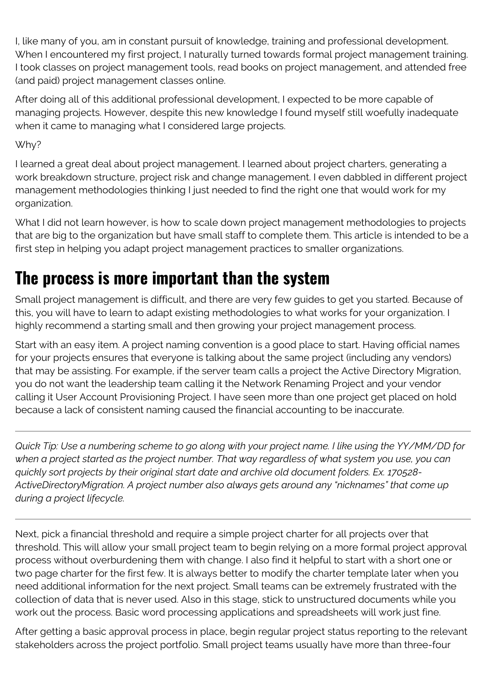I, like many of you, am in constant pursuit of knowledge, training and professional development. When I encountered my first project, I naturally turned towards formal project management training. I took classes on project management tools, read books on project management, and attended free (and paid) project management classes online.

After doing all of this additional professional development, I expected to be more capable of managing projects. However, despite this new knowledge I found myself still woefully inadequate when it came to managing what I considered large projects.

Why?

I learned a great deal about project management. I learned about project charters, generating a work breakdown structure, project risk and change management. I even dabbled in different project management methodologies thinking I just needed to find the right one that would work for my organization.

What I did not learn however, is how to scale down project management methodologies to projects that are big to the organization but have small staff to complete them. This article is intended to be a first step in helping you adapt project management practices to smaller organizations.

# **The process is more important than the system**

Small project management is difficult, and there are very few guides to get you started. Because of this, you will have to learn to adapt existing methodologies to what works for your organization. I highly recommend a starting small and then growing your project management process.

Start with an easy item. A project naming convention is a good place to start. Having official names for your projects ensures that everyone is talking about the same project (including any vendors) that may be assisting. For example, if the server team calls a project the Active Directory Migration, you do not want the leadership team calling it the Network Renaming Project and your vendor calling it User Account Provisioning Project. I have seen more than one project get placed on hold because a lack of consistent naming caused the financial accounting to be inaccurate.

*Quick Tip: Use a numbering scheme to go along with your project name. I like using the YY/MM/DD for when a project started as the project number. That way regardless of what system you use, you can quickly sort projects by their original start date and archive old document folders. Ex. 170528- ActiveDirectoryMigration. A project number also always gets around any "nicknames" that come up during a project lifecycle.*

Next, pick a financial threshold and require a simple project charter for all projects over that threshold. This will allow your small project team to begin relying on a more formal project approval process without overburdening them with change. I also find it helpful to start with a short one or two page charter for the first few. It is always better to modify the charter template later when you need additional information for the next project. Small teams can be extremely frustrated with the collection of data that is never used. Also in this stage, stick to unstructured documents while you work out the process. Basic word processing applications and spreadsheets will work just fine.

After getting a basic approval process in place, begin regular project status reporting to the relevant stakeholders across the project portfolio. Small project teams usually have more than three-four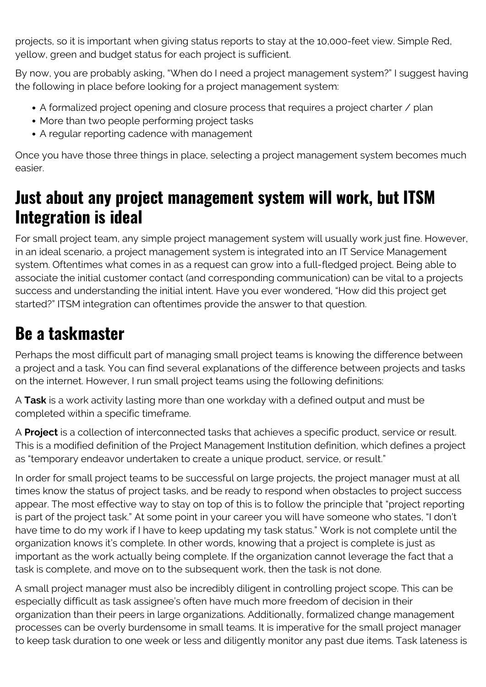projects, so it is important when giving status reports to stay at the 10,000-feet view. Simple Red, yellow, green and budget status for each project is sufficient.

By now, you are probably asking, "When do I need a project management system?" I suggest having the following in place before looking for a project management system:

- A formalized project opening and closure process that requires a project charter / plan
- More than two people performing project tasks
- A regular reporting cadence with management

Once you have those three things in place, selecting a project management system becomes much easier.

#### **Just about any project management system will work, but ITSM Integration is ideal**

For small project team, any simple project management system will usually work just fine. However, in an ideal scenario, a project management system is integrated into an IT Service Management system. Oftentimes what comes in as a request can grow into a full-fledged project. Being able to associate the initial customer contact (and corresponding communication) can be vital to a projects success and understanding the initial intent. Have you ever wondered, "How did this project get started?" ITSM integration can oftentimes provide the answer to that question.

## **Be a taskmaster**

Perhaps the most difficult part of managing small project teams is knowing the difference between a project and a task. You can find several explanations of the difference between projects and tasks on the internet. However, I run small project teams using the following definitions:

A **Task** is a work activity lasting more than one workday with a defined output and must be completed within a specific timeframe.

A **Project** is a collection of interconnected tasks that achieves a specific product, service or result. This is a modified definition of the Project Management Institution definition, which defines a project as "temporary endeavor undertaken to create a unique product, service, or result."

In order for small project teams to be successful on large projects, the project manager must at all times know the status of project tasks, and be ready to respond when obstacles to project success appear. The most effective way to stay on top of this is to follow the principle that "project reporting is part of the project task." At some point in your career you will have someone who states, "I don't have time to do my work if I have to keep updating my task status." Work is not complete until the organization knows it's complete. In other words, knowing that a project is complete is just as important as the work actually being complete. If the organization cannot leverage the fact that a task is complete, and move on to the subsequent work, then the task is not done.

A small project manager must also be incredibly diligent in controlling project scope. This can be especially difficult as task assignee's often have much more freedom of decision in their organization than their peers in large organizations. Additionally, formalized change management processes can be overly burdensome in small teams. It is imperative for the small project manager to keep task duration to one week or less and diligently monitor any past due items. Task lateness is